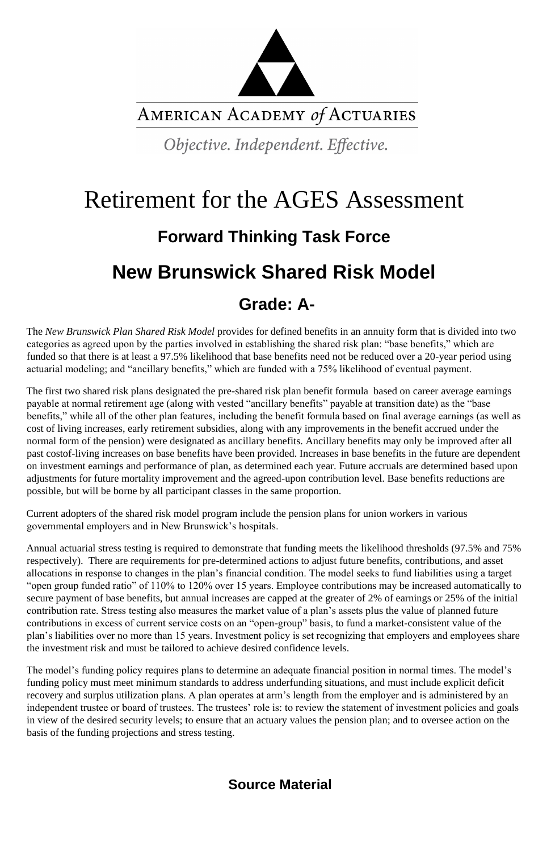

AMERICAN ACADEMY of ACTUARIES

Objective. Independent. Effective.

# Retirement for the AGES Assessment **Forward Thinking Task Force New Brunswick Shared Risk Model Grade: A-**

The *New Brunswick Plan Shared Risk Model* provides for defined benefits in an annuity form that is divided into two categories as agreed upon by the parties involved in establishing the shared risk plan: "base benefits," which are funded so that there is at least a 97.5% likelihood that base benefits need not be reduced over a 20-year period using actuarial modeling; and "ancillary benefits," which are funded with a 75% likelihood of eventual payment.

The first two shared risk plans designated the pre-shared risk plan benefit formula based on career average earnings payable at normal retirement age (along with vested "ancillary benefits" payable at transition date) as the "base benefits," while all of the other plan features, including the benefit formula based on final average earnings (as well as cost of living increases, early retirement subsidies, along with any improvements in the benefit accrued under the normal form of the pension) were designated as ancillary benefits. Ancillary benefits may only be improved after all past costof-living increases on base benefits have been provided. Increases in base benefits in the future are dependent on investment earnings and performance of plan, as determined each year. Future accruals are determined based upon adjustments for future mortality improvement and the agreed-upon contribution level. Base benefits reductions are possible, but will be borne by all participant classes in the same proportion.

Current adopters of the shared risk model program include the pension plans for union workers in various governmental employers and in New Brunswick's hospitals.

Annual actuarial stress testing is required to demonstrate that funding meets the likelihood thresholds (97.5% and 75% respectively). There are requirements for pre-determined actions to adjust future benefits, contributions, and asset allocations in response to changes in the plan's financial condition. The model seeks to fund liabilities using a target "open group funded ratio" of 110% to 120% over 15 years. Employee contributions may be increased automatically to secure payment of base benefits, but annual increases are capped at the greater of 2% of earnings or 25% of the initial contribution rate. Stress testing also measures the market value of a plan's assets plus the value of planned future contributions in excess of current service costs on an "open-group" basis, to fund a market-consistent value of the plan's liabilities over no more than 15 years. Investment policy is set recognizing that employers and employees share the investment risk and must be tailored to achieve desired confidence levels.

The model's funding policy requires plans to determine an adequate financial position in normal times. The model's funding policy must meet minimum standards to address underfunding situations, and must include explicit deficit recovery and surplus utilization plans. A plan operates at arm's length from the employer and is administered by an independent trustee or board of trustees. The trustees' role is: to review the statement of investment policies and goals in view of the desired security levels; to ensure that an actuary values the pension plan; and to oversee action on the basis of the funding projections and stress testing.

#### **Source Material**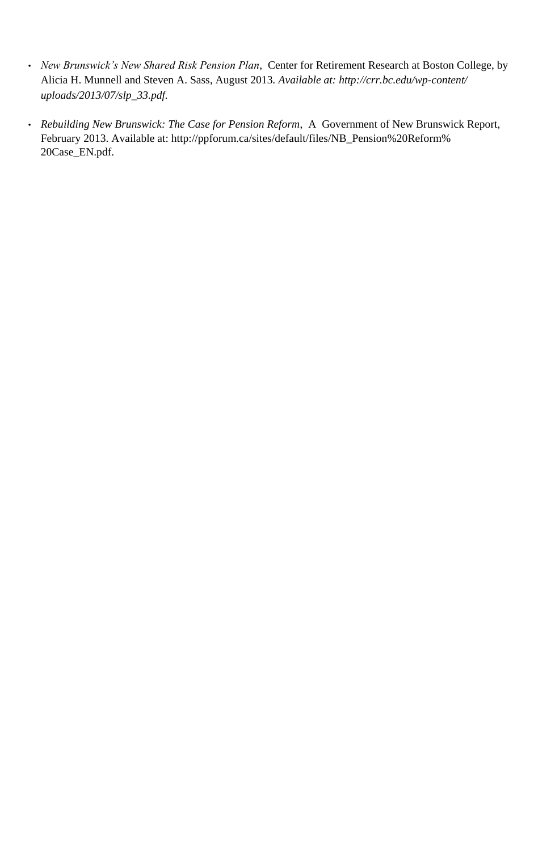- *New Brunswick's New Shared Risk Pension Plan*, Center for Retirement Research at Boston College, by Alicia H. Munnell and Steven A. Sass, August 2013*. Available at: http://crr.bc.edu/wp-content/ uploads/2013/07/slp\_33.pdf.*
- *Rebuilding New Brunswick: The Case for Pension Reform*, A Government of New Brunswick Report, February 2013. Available at: http://ppforum.ca/sites/default/files/NB\_Pension%20Reform% 20Case\_EN.pdf.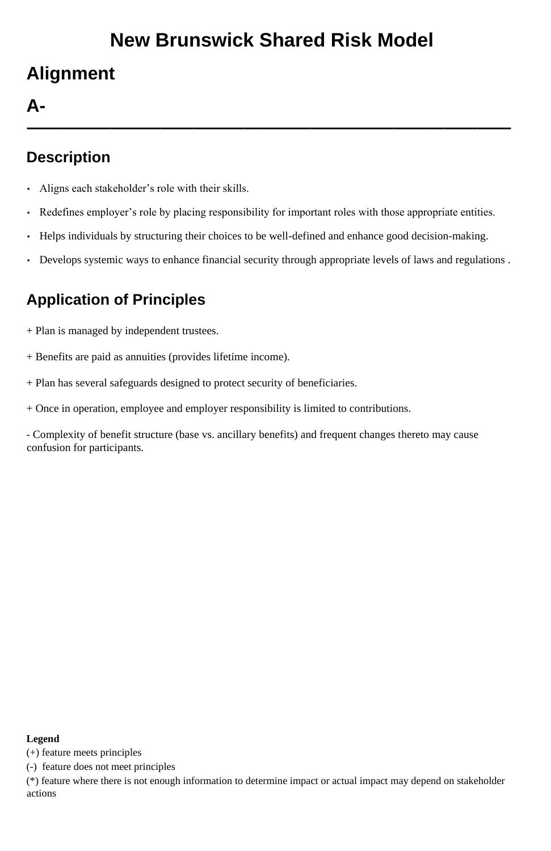# **New Brunswick Shared Risk Model**

# **Alignment**

### **A-**

**—————————————————————————————**

### **Description**

- Aligns each stakeholder's role with their skills.
- Redefines employer's role by placing responsibility for important roles with those appropriate entities.
- Helps individuals by structuring their choices to be well-defined and enhance good decision-making.
- Develops systemic ways to enhance financial security through appropriate levels of laws and regulations .

### **Application of Principles**

- + Plan is managed by independent trustees.
- + Benefits are paid as annuities (provides lifetime income).
- + Plan has several safeguards designed to protect security of beneficiaries.
- + Once in operation, employee and employer responsibility is limited to contributions.

- Complexity of benefit structure (base vs. ancillary benefits) and frequent changes thereto may cause confusion for participants.

#### **Legend**

(+) feature meets principles

(-) feature does not meet principles

(\*) feature where there is not enough information to determine impact or actual impact may depend on stakeholder actions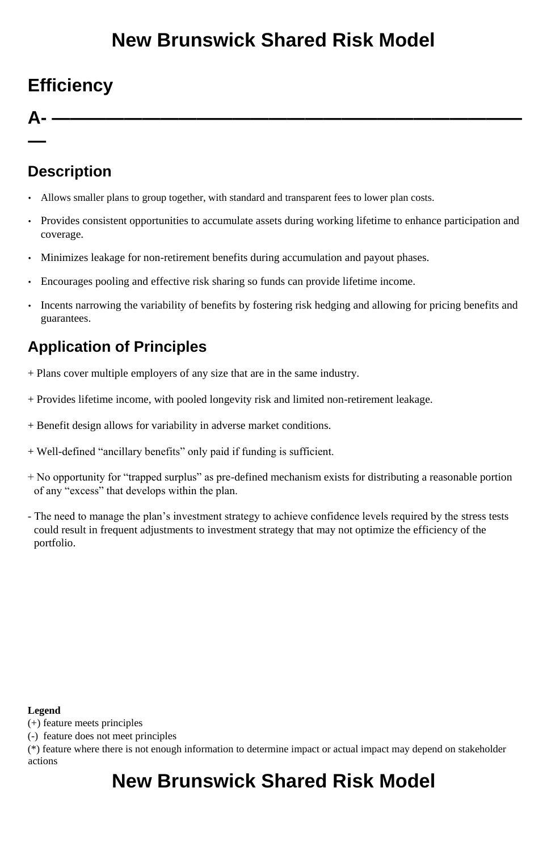# **New Brunswick Shared Risk Model**

## **Efficiency**

**A- ——————————————————————————**

**—**

### **Description**

- Allows smaller plans to group together, with standard and transparent fees to lower plan costs.
- Provides consistent opportunities to accumulate assets during working lifetime to enhance participation and coverage.
- Minimizes leakage for non-retirement benefits during accumulation and payout phases.
- Encourages pooling and effective risk sharing so funds can provide lifetime income.
- Incents narrowing the variability of benefits by fostering risk hedging and allowing for pricing benefits and guarantees.

### **Application of Principles**

- + Plans cover multiple employers of any size that are in the same industry.
- + Provides lifetime income, with pooled longevity risk and limited non-retirement leakage.
- + Benefit design allows for variability in adverse market conditions.
- + Well-defined "ancillary benefits" only paid if funding is sufficient.
- + No opportunity for "trapped surplus" as pre-defined mechanism exists for distributing a reasonable portion of any "excess" that develops within the plan.
- The need to manage the plan's investment strategy to achieve confidence levels required by the stress tests could result in frequent adjustments to investment strategy that may not optimize the efficiency of the portfolio.

#### **Legend**

(+) feature meets principles

(-) feature does not meet principles

(\*) feature where there is not enough information to determine impact or actual impact may depend on stakeholder actions

### **New Brunswick Shared Risk Model**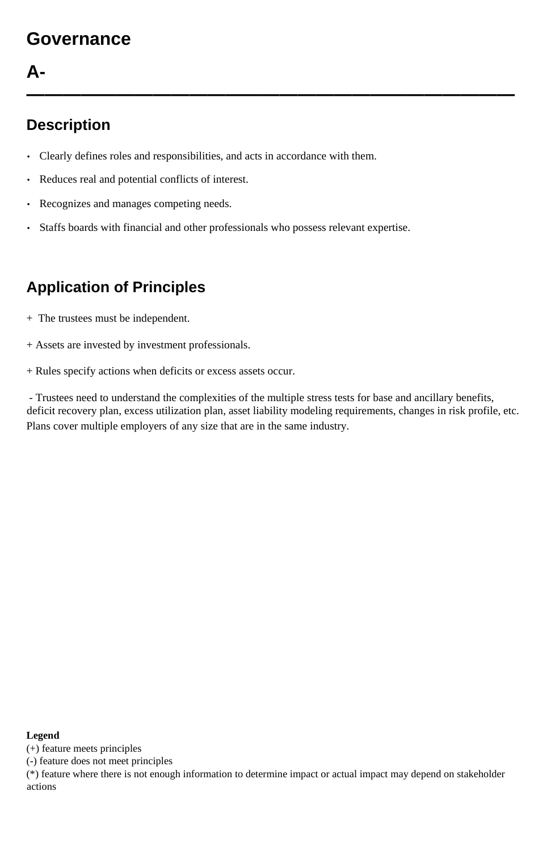### **Governance**

### **A-**

**———————————————————————————**

#### **Description**

- Clearly defines roles and responsibilities, and acts in accordance with them.
- Reduces real and potential conflicts of interest.
- Recognizes and manages competing needs.
- Staffs boards with financial and other professionals who possess relevant expertise.

### **Application of Principles**

- + The trustees must be independent.
- + Assets are invested by investment professionals.
- + Rules specify actions when deficits or excess assets occur.

- Trustees need to understand the complexities of the multiple stress tests for base and ancillary benefits, deficit recovery plan, excess utilization plan, asset liability modeling requirements, changes in risk profile, etc. Plans cover multiple employers of any size that are in the same industry.

#### **Legend**

(+) feature meets principles

(-) feature does not meet principles

(\*) feature where there is not enough information to determine impact or actual impact may depend on stakeholder actions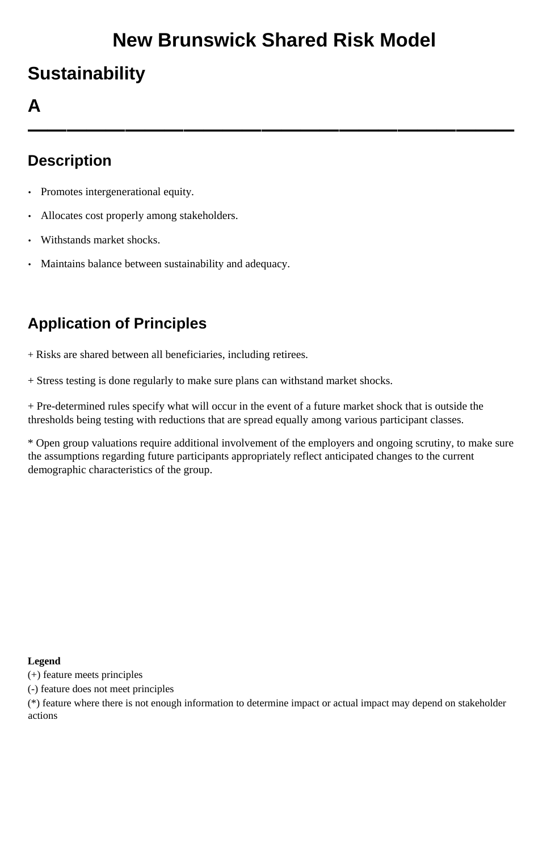# **New Brunswick Shared Risk Model**

## **Sustainability**

#### **A**

**—————————————————————————**

#### **Description**

- Promotes intergenerational equity.
- Allocates cost properly among stakeholders.
- Withstands market shocks.
- Maintains balance between sustainability and adequacy.

#### **Application of Principles**

- + Risks are shared between all beneficiaries, including retirees.
- + Stress testing is done regularly to make sure plans can withstand market shocks.

+ Pre-determined rules specify what will occur in the event of a future market shock that is outside the thresholds being testing with reductions that are spread equally among various participant classes.

\* Open group valuations require additional involvement of the employers and ongoing scrutiny, to make sure the assumptions regarding future participants appropriately reflect anticipated changes to the current demographic characteristics of the group.

#### **Legend**

- (+) feature meets principles
- (-) feature does not meet principles

(\*) feature where there is not enough information to determine impact or actual impact may depend on stakeholder actions